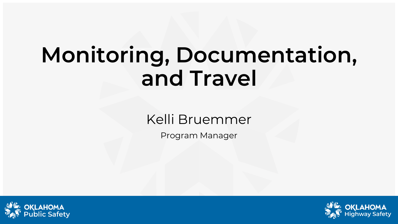# **Monitoring, Documentation, and Travel**

#### Kelli Bruemmer

Program Manager



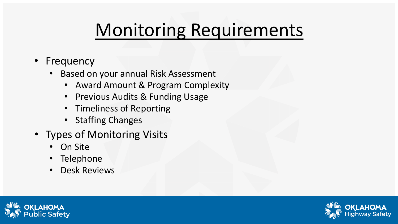# Monitoring Requirements

- Frequency
	- Based on your annual Risk Assessment
		- Award Amount & Program Complexity
		- Previous Audits & Funding Usage
		- Timeliness of Reporting
		- Staffing Changes
- Types of Monitoring Visits
	- On Site
	- Telephone
	- Desk Reviews



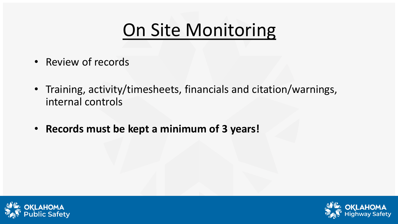#### On Site Monitoring

- Review of records
- Training, activity/timesheets, financials and citation/warnings, internal controls
- **Records must be kept a minimum of 3 years!**



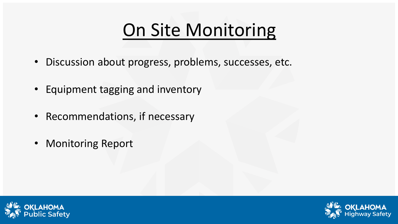### On Site Monitoring

- Discussion about progress, problems, successes, etc.
- Equipment tagging and inventory
- Recommendations, if necessary
- Monitoring Report



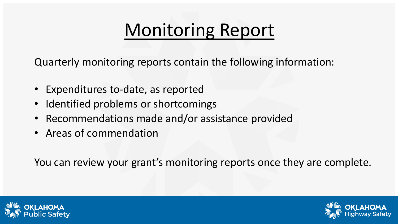# Monitoring Report

Quarterly monitoring reports contain the following information:

- Expenditures to-date, as reported
- Identified problems or shortcomings
- Recommendations made and/or assistance provided
- Areas of commendation

You can review your grant's monitoring reports once they are complete.



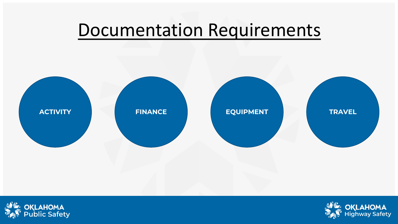#### Documentation Requirements





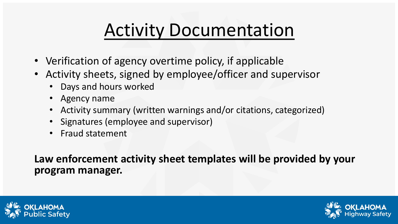### Activity Documentation

- Verification of agency overtime policy, if applicable
- Activity sheets, signed by employee/officer and supervisor
	- Days and hours worked
	- Agency name
	- Activity summary (written warnings and/or citations, categorized)
	- Signatures (employee and supervisor)
	- Fraud statement

**Law enforcement activity sheet templates will be provided by your program manager.**



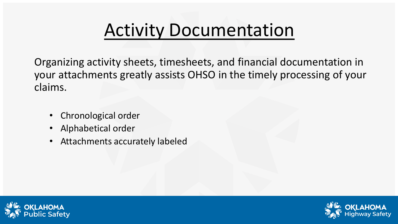### Activity Documentation

Organizing activity sheets, timesheets, and financial documentation in your attachments greatly assists OHSO in the timely processing of your claims.

- Chronological order
- Alphabetical order
- Attachments accurately labeled



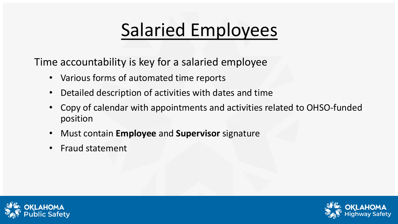# Salaried Employees

Time accountability is key for a salaried employee

- Various forms of automated time reports
- Detailed description of activities with dates and time
- Copy of calendar with appointments and activities related to OHSO-funded position
- Must contain **Employee** and **Supervisor** signature
- Fraud statement



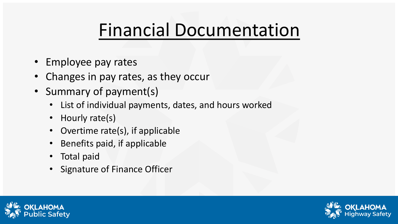#### Financial Documentation

- Employee pay rates
- Changes in pay rates, as they occur
- Summary of payment(s)
	- List of individual payments, dates, and hours worked
	- Hourly rate(s)
	- Overtime rate(s), if applicable
	- Benefits paid, if applicable
	- Total paid
	- Signature of Finance Officer



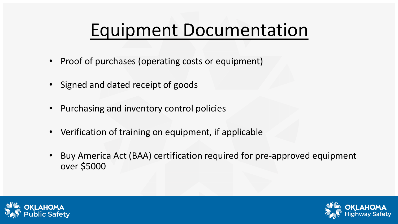#### Equipment Documentation

- Proof of purchases (operating costs or equipment)
- Signed and dated receipt of goods
- Purchasing and inventory control policies
- Verification of training on equipment, if applicable
- Buy America Act (BAA) certification required for pre-approved equipment over \$5000



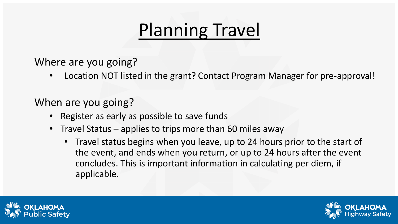Where are you going?

• Location NOT listed in the grant? Contact Program Manager for pre-approval!

#### When are you going?

- Register as early as possible to save funds
- Travel Status applies to trips more than 60 miles away
	- Travel status begins when you leave, up to 24 hours prior to the start of the event, and ends when you return, or up to 24 hours after the event concludes. This is important information in calculating per diem, if applicable.



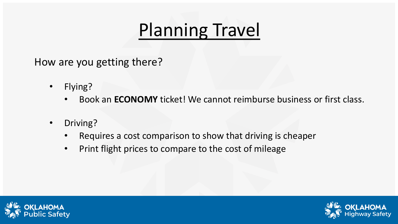How are you getting there?

- Flying?
	- Book an **ECONOMY** ticket! We cannot reimburse business or first class.
- Driving?
	- Requires a cost comparison to show that driving is cheaper
	- Print flight prices to compare to the cost of mileage



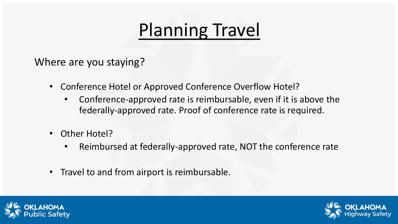Where are you staying?

- Conference Hotel or Approved Conference Overflow Hotel?
	- Conference-approved rate is reimbursable, even if it is above the federally-approved rate. Proof of conference rate is required.
- Other Hotel?
	- Reimbursed at federally-approved rate, NOT the conference rate
- Travel to and from airport is reimbursable.



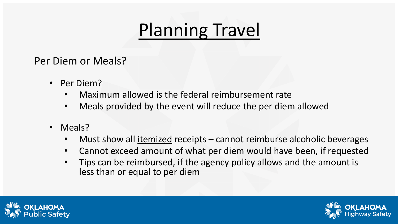Per Diem or Meals?

- Per Diem?
	- Maximum allowed is the federal reimbursement rate
	- Meals provided by the event will reduce the per diem allowed
- Meals?
	- Must show all <u>itemized</u> receipts cannot reimburse alcoholic beverages
	- Cannot exceed amount of what per diem would have been, if requested
	- Tips can be reimbursed, if the agency policy allows and the amount is less than or equal to per diem



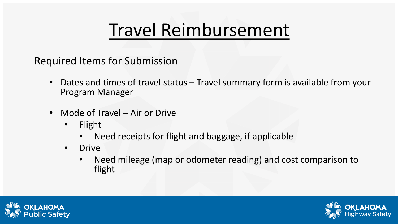#### Travel Reimbursement

Required Items for Submission

- Dates and times of travel status Travel summary form is available from your Program Manager
- Mode of Travel Air or Drive
	- Flight
		- Need receipts for flight and baggage, if applicable
	- Drive
		- Need mileage (map or odometer reading) and cost comparison to flight



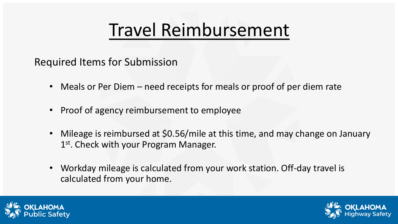#### Travel Reimbursement

Required Items for Submission

- Meals or Per Diem need receipts for meals or proof of per diem rate
- Proof of agency reimbursement to employee
- Mileage is reimbursed at \$0.56/mile at this time, and may change on January 1<sup>st</sup>. Check with your Program Manager.
- Workday mileage is calculated from your work station. Off-day travel is calculated from your home.



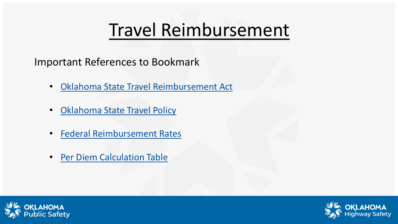#### Travel Reimbursement

Important References to Bookmark

- [Oklahoma State Travel Reimbursement Act](https://www.ok.gov/Architects/documents/Title%2074-500%20Travel%20Act.doc)
- [Oklahoma State Travel Policy](https://www.ok.gov/DCS/documents/StateTravelPolicy.pdf)
- [Federal Reimbursement Rates](https://www.gsa.gov/travel/plan-book/per-diem-rates)
- [Per Diem Calculation Table](https://omes.ok.gov/sites/g/files/gmc316/f/PerDiemTableByQuarterFederal2018.pdf)



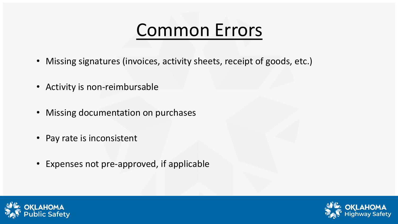#### Common Errors

- Missing signatures (invoices, activity sheets, receipt of goods, etc.)
- Activity is non-reimbursable
- Missing documentation on purchases
- Pay rate is inconsistent
- Expenses not pre-approved, if applicable